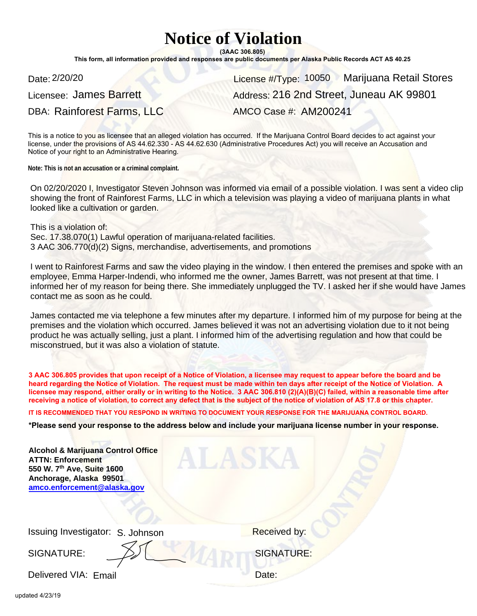## **Notice of Violation**

**(3AAC 306.805)**

**This form, all information provided and responses are public documents per Alaska Public Records ACT AS 40.25**

Date: 2/20/20 **Marijuana Retail Stores** License #/Type: 10050 Marijuana Retail Stores Address: 216 2nd Street, Juneau AK 99801 AMCO Case #: AM200241

On 02/20/2020 I, Investigator Steven Johnson was informed via email of a possible violation. I was sent a video clip showing the front of Rainforest Farms, LLC in which a television was playing a video of marijuana plants in what looked like a cultivation or garden.

I went to Rainforest Farms and saw the video playing in the window. I then entered the premises and spoke with an employee, Emma Harper-Indendi, who informed me the owner, James Barrett, was not present at that time. I informed her of my reason for being there. She immediately unplugged the TV. I asked her if she would have James contact me as soon as he could.

James contacted me via telephone a few minutes after my departure. I informed him of my purpose for being at the premises and the violation which occurred. James believed it was not an advertising violation due to it not being product he was actually selling, just a plant. I informed him of the advertising regulation and how that could be misconstrued, but it was also a violation of statute.

| Date: 2/20/20                                                                                                                                                            | License #/Type: 10050 Marijuana Retail St                                                                                                                                                                                                                                                                                                                                                                                                                                                                                    |
|--------------------------------------------------------------------------------------------------------------------------------------------------------------------------|------------------------------------------------------------------------------------------------------------------------------------------------------------------------------------------------------------------------------------------------------------------------------------------------------------------------------------------------------------------------------------------------------------------------------------------------------------------------------------------------------------------------------|
| Licensee: James Barrett                                                                                                                                                  | Address: 216 2nd Street, Juneau AK 9980                                                                                                                                                                                                                                                                                                                                                                                                                                                                                      |
| DBA: Rainforest Farms, LLC                                                                                                                                               | AMCO Case #: AM200241                                                                                                                                                                                                                                                                                                                                                                                                                                                                                                        |
| Notice of your right to an Administrative Hearing.                                                                                                                       | This is a notice to you as licensee that an alleged violation has occurred. If the Marijuana Control Board decides to act against you<br>license, under the provisions of AS 44.62.330 - AS 44.62.630 (Administrative Procedures Act) you will receive an Accusation and                                                                                                                                                                                                                                                     |
| Note: This is not an accusation or a criminal complaint.                                                                                                                 |                                                                                                                                                                                                                                                                                                                                                                                                                                                                                                                              |
| looked like a cultivation or garden.                                                                                                                                     | On 02/20/2020 I, Investigator Steven Johnson was informed via email of a possible violation. I was sent a vi<br>showing the front of Rainforest Farms, LLC in which a television was playing a video of marijuana plants in v                                                                                                                                                                                                                                                                                                |
| This is a violation of:<br>Sec. 17.38.070(1) Lawful operation of marijuana-related facilities.<br>3 AAC 306.770(d)(2) Signs, merchandise, advertisements, and promotions |                                                                                                                                                                                                                                                                                                                                                                                                                                                                                                                              |
| contact me as soon as he could.                                                                                                                                          | I went to Rainforest Farms and saw the video playing in the window. I then entered the premises and spoke<br>employee, Emma Harper-Indendi, who informed me the owner, James Barrett, was not present at that time.<br>informed her of my reason for being there. She immediately unplugged the TV. I asked her if she would hav                                                                                                                                                                                             |
| misconstrued, but it was also a violation of statute.                                                                                                                    | James contacted me via telephone a few minutes after my departure. I informed him of my purpose for bein<br>premises and the violation which occurred. James believed it was not an advertising violation due to it not b<br>product he was actually selling, just a plant. I informed him of the advertising regulation and how that could                                                                                                                                                                                  |
|                                                                                                                                                                          | 3 AAC 306.805 provides that upon receipt of a Notice of Violation, a licensee may request to appear before the board and<br>heard regarding the Notice of Violation. The request must be made within ten days after receipt of the Notice of Violation.<br>licensee may respond, either orally or in writing to the Notice. 3 AAC 306.810 (2)(A)(B)(C) failed, within a reasonable time<br>receiving a notice of violation, to correct any defect that is the subject of the notice of violation of AS 17.8 or this chapter. |
|                                                                                                                                                                          | IT IS RECOMMENDED THAT YOU RESPOND IN WRITING TO DOCUMENT YOUR RESPONSE FOR THE MARIJUANA CONTROL BOARD.                                                                                                                                                                                                                                                                                                                                                                                                                     |
|                                                                                                                                                                          | *Please send your response to the address below and include your marijuana license number in your respons                                                                                                                                                                                                                                                                                                                                                                                                                    |
| <b>Alcohol &amp; Marijuana Control Office</b><br><b>ATTN: Enforcement</b><br>550 W. 7th Ave, Suite 1600<br>Anchorage, Alaska 99501<br>amco.enforcement@alaska.gov        | ALASKA                                                                                                                                                                                                                                                                                                                                                                                                                                                                                                                       |
|                                                                                                                                                                          |                                                                                                                                                                                                                                                                                                                                                                                                                                                                                                                              |
| Issuing Investigator: S. Johnson                                                                                                                                         | <b>Received by:</b>                                                                                                                                                                                                                                                                                                                                                                                                                                                                                                          |
| SIGNATURE:                                                                                                                                                               | <b>SIGNATURE:</b>                                                                                                                                                                                                                                                                                                                                                                                                                                                                                                            |
| Delivered VIA: Email                                                                                                                                                     | Date:                                                                                                                                                                                                                                                                                                                                                                                                                                                                                                                        |
|                                                                                                                                                                          |                                                                                                                                                                                                                                                                                                                                                                                                                                                                                                                              |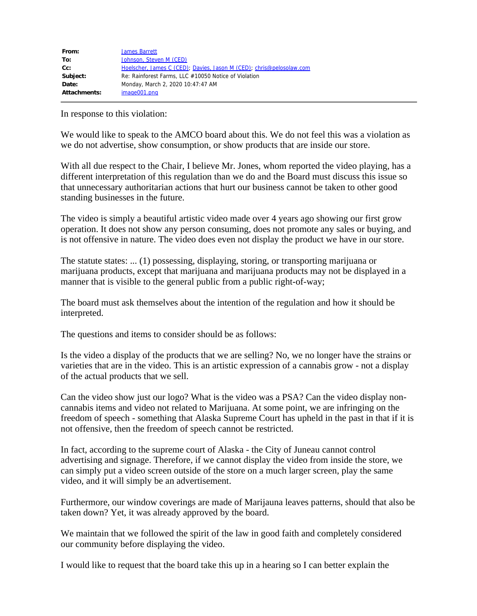| From:        | <b>James Barrett</b>                                                 |
|--------------|----------------------------------------------------------------------|
| To:          | Johnson, Steven M (CED)                                              |
| $Cc$ :       | Hoelscher, James C (CED); Davies, Jason M (CED); chris@pelosolaw.com |
| Subject:     | Re: Rainforest Farms, LLC #10050 Notice of Violation                 |
| Date:        | Monday, March 2, 2020 10:47:47 AM                                    |
| Attachments: | image001.png                                                         |

In response to this violation:

We would like to speak to the AMCO board about this. We do not feel this was a violation as we do not advertise, show consumption, or show products that are inside our store.

With all due respect to the Chair, I believe Mr. Jones, whom reported the video playing, has a different interpretation of this regulation than we do and the Board must discuss this issue so that unnecessary authoritarian actions that hurt our business cannot be taken to other good standing businesses in the future.

The video is simply a beautiful artistic video made over 4 years ago showing our first grow operation. It does not show any person consuming, does not promote any sales or buying, and is not offensive in nature. The video does even not display the product we have in our store.

The statute states: ... (1) possessing, displaying, storing, or transporting marijuana or marijuana products, except that marijuana and marijuana products may not be displayed in a manner that is visible to the general public from a public right-of-way;

The board must ask themselves about the intention of the regulation and how it should be interpreted.

The questions and items to consider should be as follows:

Is the video a display of the products that we are selling? No, we no longer have the strains or varieties that are in the video. This is an artistic expression of a cannabis grow - not a display of the actual products that we sell.

Can the video show just our logo? What is the video was a PSA? Can the video display noncannabis items and video not related to Marijuana. At some point, we are infringing on the freedom of speech - something that Alaska Supreme Court has upheld in the past in that if it is not offensive, then the freedom of speech cannot be restricted.

In fact, according to the supreme court of Alaska - the City of Juneau cannot control advertising and signage. Therefore, if we cannot display the video from inside the store, we can simply put a video screen outside of the store on a much larger screen, play the same video, and it will simply be an advertisement.

Furthermore, our window coverings are made of Marijauna leaves patterns, should that also be taken down? Yet, it was already approved by the board.

We maintain that we followed the spirit of the law in good faith and completely considered our community before displaying the video.

I would like to request that the board take this up in a hearing so I can better explain the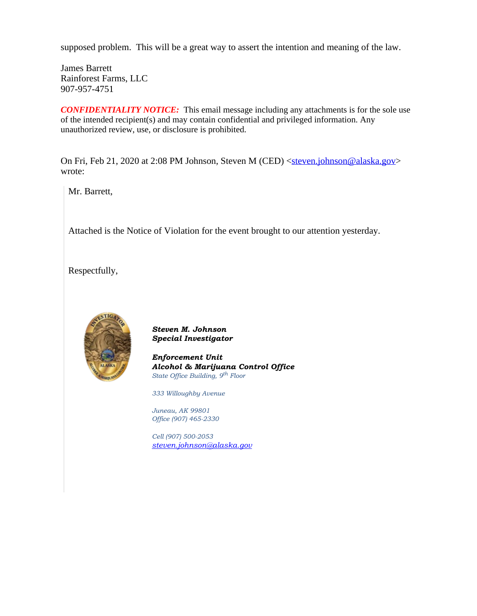supposed problem. This will be a great way to assert the intention and meaning of the law.

James Barrett Rainforest Farms, LLC 907-957-4751

**CONFIDENTIALITY NOTICE:** This email message including any attachments is for the sole use of the intended recipient(s) and may contain confidential and privileged information. Any unauthorized review, use, or disclosure is prohibited.

On Fri, Feb 21, 2020 at 2:08 PM Johnson, Steven M (CED) [<steven.johnson@alaska.gov](mailto:steven.johnson@alaska.gov)> wrote:

Mr. Barrett,

Attached is the Notice of Violation for the event brought to our attention yesterday.

Respectfully,



*Steven M. Johnson Special Investigator*

*Enforcement Unit Alcohol & Marijuana Control Office State Office Building, 9th Floor*

*333 Willoughby Avenue*

*Juneau, AK 99801 Office (907) 465-2330*

*Cell (907) 500-2053 [steven.johnson@alaska.gov](mailto:steven.johnson@alaska.gov)*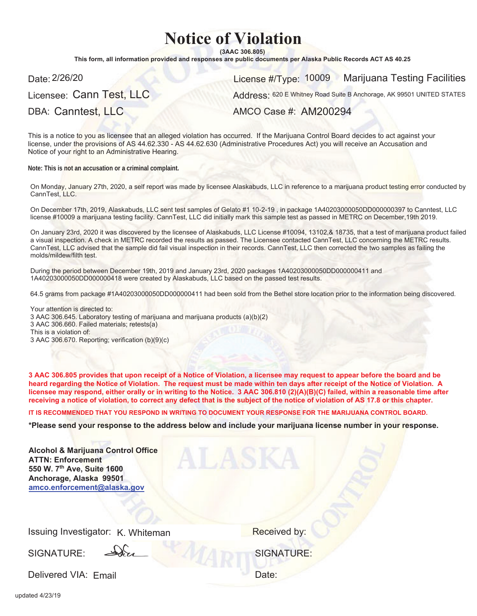## **Notice of Violation**

 $(3AAC306.805)$ 

This form, all information provided and responses are public documents per Alaska Public Records ACT AS 40.25

Licensee: Cann Test, LLC

Date: License #/Type: 2/26/20 Marijuana Testing Facilities 10009

Address: 620 E Whitney Road Suite B Anchorage, AK 99501 UNITED STATES

DBA: Canntest, LLC

AMCO Case #: AM200294

This is a notice to you as licensee that an alleged violation has occurred. If the Marijuana Control Board decides to act against vour license, under the provisions of AS 44.62.330 - AS 44.62.630 (Administrative Procedures Act) you will receive an Accusation and Notice of your right to an Administrative Hearing.

**Note: This is not an accusation or a criminal complaint.**

On Monday, January 27th, 2020, a self report was made by licensee Alaskabuds, LLC in reference to a marijuana product testing error conducted by CannTest, LLC.

On December 17th, 2019, Alaskabuds, LLC sent test samples of Gelato #1 10-2-19 , in package 1A40203000050DD000000397 to Canntest, LLC license #10009 a marijuana testing facility. CannTest, LLC did initially mark this sample test as passed in METRC on December,19th 2019.

On January 23rd, 2020 it was discovered by the licensee of Alaskabuds, LLC License #10094, 13102,& 18735, that a test of marijuana product failed a visual inspection. A check in METRC recorded the results as passed. The Licensee contacted CannTest, LLC concerning the METRC results. CannTest, LLC advised that the sample did fail visual inspection in their records. CannTest, LLC then corrected the two samples as failing the molds/mildew/filth test.

During the period between December 19th, 2019 and January 23rd, 2020 packages 1A40203000050DD000000411 and 1A40203000050DD000000418 were created by Alaskabuds, LLC based on the passed test results.

64.5 grams from package #1A40203000050DD000000411 had been sold from the Bethel store location prior to the information being discovered.

Your attention is directed to: 3 AAC 306.645. Laboratory testing of marijuana and marijuana products (a)(b)(2) 3 AAC 306.660. Failed materials; retests(a) This is a violation of: 3 AAC 306.670. Reporting; verification (b)(9)(c)

3 AAC 306.805 provides that upon receipt of a Notice of Violation, a licensee may request to appear before the board and be heard regarding the Notice of Violation. The request must be made within ten days after receipt of the Notice of Violation. A licensee may respond, either orally or in writing to the Notice. 3 AAC 306.810 (2)(A)(B)(C) failed, within a reasonable time after receiving a notice of violation, to correct any defect that is the subject of the notice of violation of AS 17.8 or this chapter.

IT IS RECOMMENDED THAT YOU RESPOND IN WRITING TO DOCUMENT YOUR RESPONSE FOR THE MARIJUANA CONTROL BOARD.

\*Please send your response to the address below and include your marijuana license number in your response.

| <b>Alcohol &amp; Marijuana Control Office</b><br><b>ATTN: Enforcement</b><br>550 W. 7th Ave, Suite 1600<br>Anchorage, Alaska 99501<br>amco.enforcement@alaska.gov |                   |
|-------------------------------------------------------------------------------------------------------------------------------------------------------------------|-------------------|
| Issuing Investigator: K. Whiteman                                                                                                                                 | Received by:      |
| SIGNATURE:                                                                                                                                                        | <b>SIGNATURE:</b> |
| Delivered VIA: Email                                                                                                                                              | Date:             |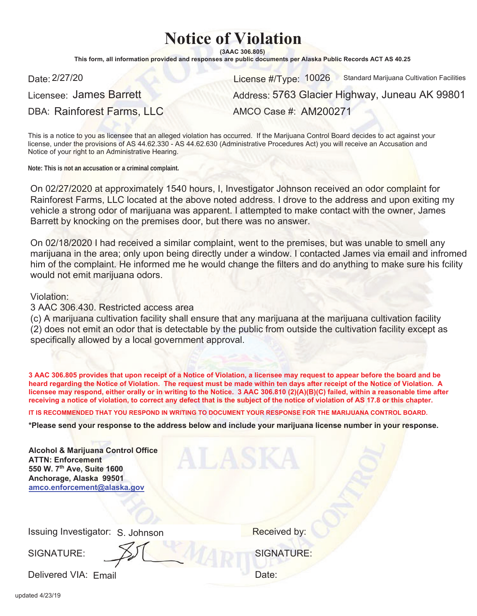## **Notice of Violation**

 $(3AAC306.805)$ 

This form, all information provided and responses are public documents per Alaska Public Records ACT AS 40.25

Date: 2/27/20 **Standard Marijuana Cultivation Facilities** License #/Type: 10026 Standard Marijuana Cultivation Facilities

Licensee: James Barrett DBA: Rainforest Farms, LLC AMCO Case #: AM200271

Address: 5763 Glacier Highway, Juneau AK 99801

This is a notice to you as licensee that an alleged violation has occurred. If the Marijuana Control Board decides to act against your license, under the provisions of AS 44.62.330 - AS 44.62.630 (Administrative Procedures Act) you will receive an Accusation and Notice of your right to an Administrative Hearing.

**Note: This is not an accusation or a criminal complaint.**

On 02/27/2020 at approximately 1540 hours, I, Investigator Johnson received an odor complaint for Rainforest Farms, LLC located at the above noted address. I drove to the address and upon exiting my vehicle a strong odor of marijuana was apparent. I attempted to make contact with the owner, James Barrett by knocking on the premises door, but there was no answer.

On 02/18/2020 I had received a similar complaint, went to the premises, but was unable to smell any marijuana in the area; only upon being directly under a window. I contacted James via email and infromed him of the complaint. He informed me he would change the filters and do anything to make sure his fcility would not emit marijuana odors.

## Violation:

3 AAC 306.430. Restricted access area

(c) A marijuana cultivation facility shall ensure that any marijuana at the marijuana cultivation facility (2) does not emit an odor that is detectable by the public from outside the cultivation facility except as specifically allowed by a local government approval.

3 AAC 306.805 provides that upon receipt of a Notice of Violation, a licensee may request to appear before the board and be heard regarding the Notice of Violation. The request must be made within ten days after receipt of the Notice of Violation. A licensee may respond, either orally or in writing to the Notice. 3 AAC 306.810 (2)(A)(B)(C) failed, within a reasonable time after receiving a notice of violation, to correct any defect that is the subject of the notice of violation of AS 17.8 or this chapter.

IT IS RECOMMENDED THAT YOU RESPOND IN WRITING TO DOCUMENT YOUR RESPONSE FOR THE MARIJUANA CONTROL BOARD.

\*Please send your response to the address below and include your marijuana license number in your response.

| <b>Alcohol &amp; Marijuana Control Office</b><br><b>ATTN: Enforcement</b><br>550 W. 7th Ave, Suite 1600<br>Anchorage, Alaska 99501<br>amco.enforcement@alaska.gov |                   |
|-------------------------------------------------------------------------------------------------------------------------------------------------------------------|-------------------|
| Issuing Investigator: S. Johnson                                                                                                                                  | Received by:      |
| SIGNATURE:                                                                                                                                                        | <b>SIGNATURE:</b> |
| Delivered VIA: Email                                                                                                                                              | Date:             |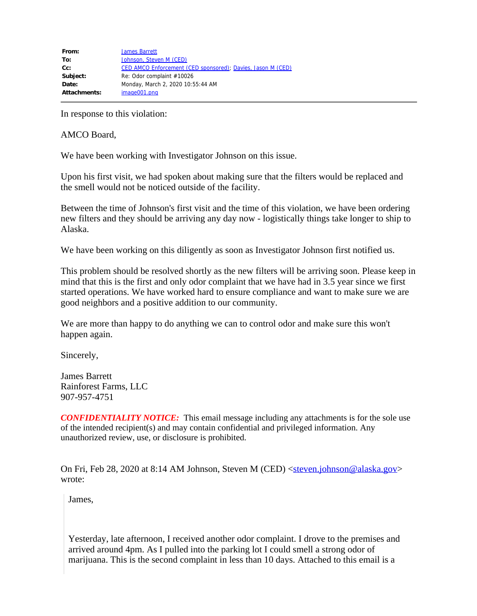| From:        | <b>James Barrett</b>                                        |
|--------------|-------------------------------------------------------------|
| To:          | Johnson, Steven M (CED)                                     |
| $Cc$ :       | CED AMCO Enforcement (CED sponsored); Davies, Jason M (CED) |
| Subject:     | Re: Odor complaint #10026                                   |
| Date:        | Monday, March 2, 2020 10:55:44 AM                           |
| Attachments: | image001.png                                                |

In response to this violation:

AMCO Board,

We have been working with Investigator Johnson on this issue.

Upon his first visit, we had spoken about making sure that the filters would be replaced and the smell would not be noticed outside of the facility.

Between the time of Johnson's first visit and the time of this violation, we have been ordering new filters and they should be arriving any day now - logistically things take longer to ship to Alaska.

We have been working on this diligently as soon as Investigator Johnson first notified us.

This problem should be resolved shortly as the new filters will be arriving soon. Please keep in mind that this is the first and only odor complaint that we have had in 3.5 year since we first started operations. We have worked hard to ensure compliance and want to make sure we are good neighbors and a positive addition to our community.

We are more than happy to do anything we can to control odor and make sure this won't happen again.

Sincerely,

James Barrett Rainforest Farms, LLC 907-957-4751

**CONFIDENTIALITY NOTICE:** This email message including any attachments is for the sole use of the intended recipient(s) and may contain confidential and privileged information. Any unauthorized review, use, or disclosure is prohibited.

On Fri, Feb 28, 2020 at 8:14 AM Johnson, Steven M (CED) [<steven.johnson@alaska.gov](mailto:steven.johnson@alaska.gov)> wrote:

James,

Yesterday, late afternoon, I received another odor complaint. I drove to the premises and arrived around 4pm. As I pulled into the parking lot I could smell a strong odor of marijuana. This is the second complaint in less than 10 days. Attached to this email is a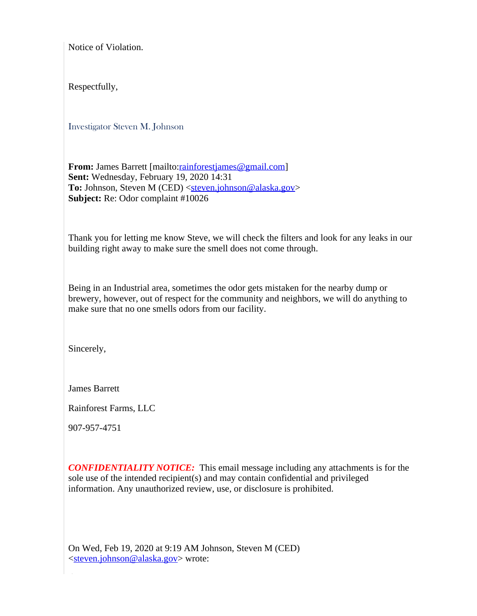Notice of Violation.

Respectfully,

Investigator Steven M. Johnson

**From:** James Barrett [mailto:*rainforestjames@gmail.com]* **Sent:** Wednesday, February 19, 2020 14:31 **To:** Johnson, Steven M (CED) [<steven.johnson@alaska.gov>](mailto:steven.johnson@alaska.gov) **Subject:** Re: Odor complaint #10026

Thank you for letting me know Steve, we will check the filters and look for any leaks in our building right away to make sure the smell does not come through.

Being in an Industrial area, sometimes the odor gets mistaken for the nearby dump or brewery, however, out of respect for the community and neighbors, we will do anything to make sure that no one smells odors from our facility.

Sincerely,

James Barrett

Rainforest Farms, LLC

907-957-4751

**CONFIDENTIALITY NOTICE:** This email message including any attachments is for the sole use of the intended recipient(s) and may contain confidential and privileged information. Any unauthorized review, use, or disclosure is prohibited.

On Wed, Feb 19, 2020 at 9:19 AM Johnson, Steven M (CED) <[steven.johnson@alaska.gov>](mailto:steven.johnson@alaska.gov) wrote: